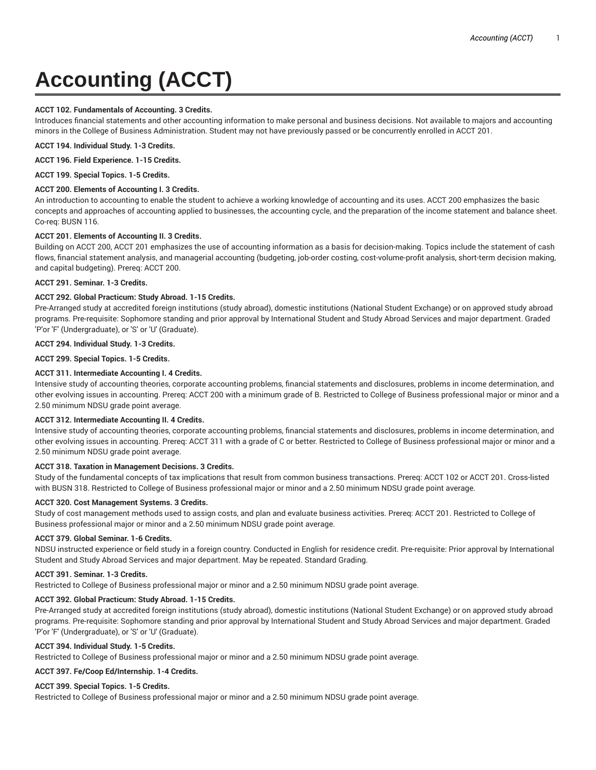# **Accounting (ACCT)**

## **ACCT 102. Fundamentals of Accounting. 3 Credits.**

Introduces financial statements and other accounting information to make personal and business decisions. Not available to majors and accounting minors in the College of Business Administration. Student may not have previously passed or be concurrently enrolled in ACCT 201.

**ACCT 194. Individual Study. 1-3 Credits.**

**ACCT 196. Field Experience. 1-15 Credits.**

**ACCT 199. Special Topics. 1-5 Credits.**

## **ACCT 200. Elements of Accounting I. 3 Credits.**

An introduction to accounting to enable the student to achieve a working knowledge of accounting and its uses. ACCT 200 emphasizes the basic concepts and approaches of accounting applied to businesses, the accounting cycle, and the preparation of the income statement and balance sheet. Co-req: BUSN 116.

# **ACCT 201. Elements of Accounting II. 3 Credits.**

Building on ACCT 200, ACCT 201 emphasizes the use of accounting information as a basis for decision-making. Topics include the statement of cash flows, financial statement analysis, and managerial accounting (budgeting, job-order costing, cost-volume-profit analysis, short-term decision making, and capital budgeting). Prereq: ACCT 200.

## **ACCT 291. Seminar. 1-3 Credits.**

# **ACCT 292. Global Practicum: Study Abroad. 1-15 Credits.**

Pre-Arranged study at accredited foreign institutions (study abroad), domestic institutions (National Student Exchange) or on approved study abroad programs. Pre-requisite: Sophomore standing and prior approval by International Student and Study Abroad Services and major department. Graded 'P'or 'F' (Undergraduate), or 'S' or 'U' (Graduate).

## **ACCT 294. Individual Study. 1-3 Credits.**

**ACCT 299. Special Topics. 1-5 Credits.**

# **ACCT 311. Intermediate Accounting I. 4 Credits.**

Intensive study of accounting theories, corporate accounting problems, financial statements and disclosures, problems in income determination, and other evolving issues in accounting. Prereq: ACCT 200 with a minimum grade of B. Restricted to College of Business professional major or minor and a 2.50 minimum NDSU grade point average.

## **ACCT 312. Intermediate Accounting II. 4 Credits.**

Intensive study of accounting theories, corporate accounting problems, financial statements and disclosures, problems in income determination, and other evolving issues in accounting. Prereq: ACCT 311 with a grade of C or better. Restricted to College of Business professional major or minor and a 2.50 minimum NDSU grade point average.

## **ACCT 318. Taxation in Management Decisions. 3 Credits.**

Study of the fundamental concepts of tax implications that result from common business transactions. Prereq: ACCT 102 or ACCT 201. Cross-listed with BUSN 318. Restricted to College of Business professional major or minor and a 2.50 minimum NDSU grade point average.

## **ACCT 320. Cost Management Systems. 3 Credits.**

Study of cost management methods used to assign costs, and plan and evaluate business activities. Prereq: ACCT 201. Restricted to College of Business professional major or minor and a 2.50 minimum NDSU grade point average.

## **ACCT 379. Global Seminar. 1-6 Credits.**

NDSU instructed experience or field study in a foreign country. Conducted in English for residence credit. Pre-requisite: Prior approval by International Student and Study Abroad Services and major department. May be repeated. Standard Grading.

## **ACCT 391. Seminar. 1-3 Credits.**

Restricted to College of Business professional major or minor and a 2.50 minimum NDSU grade point average.

## **ACCT 392. Global Practicum: Study Abroad. 1-15 Credits.**

Pre-Arranged study at accredited foreign institutions (study abroad), domestic institutions (National Student Exchange) or on approved study abroad programs. Pre-requisite: Sophomore standing and prior approval by International Student and Study Abroad Services and major department. Graded 'P'or 'F' (Undergraduate), or 'S' or 'U' (Graduate).

## **ACCT 394. Individual Study. 1-5 Credits.**

Restricted to College of Business professional major or minor and a 2.50 minimum NDSU grade point average.

## **ACCT 397. Fe/Coop Ed/Internship. 1-4 Credits.**

## **ACCT 399. Special Topics. 1-5 Credits.**

Restricted to College of Business professional major or minor and a 2.50 minimum NDSU grade point average.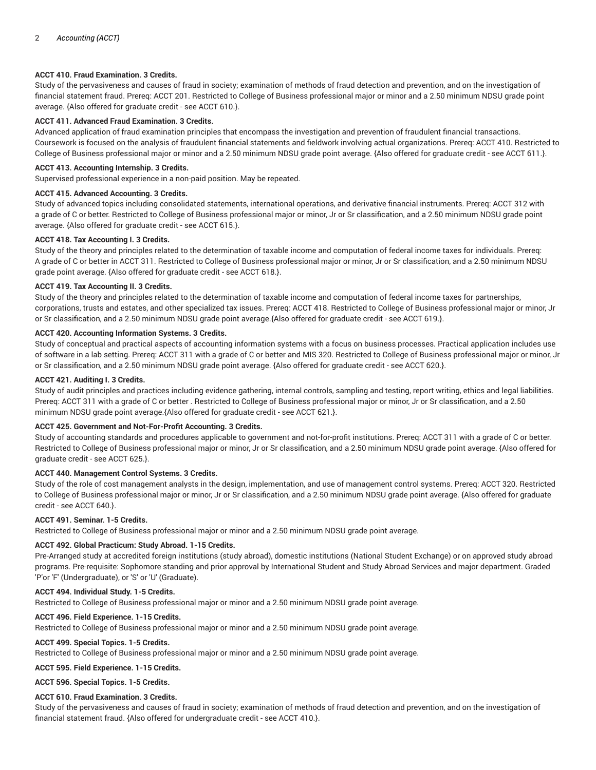# **ACCT 410. Fraud Examination. 3 Credits.**

Study of the pervasiveness and causes of fraud in society; examination of methods of fraud detection and prevention, and on the investigation of financial statement fraud. Prereq: ACCT 201. Restricted to College of Business professional major or minor and a 2.50 minimum NDSU grade point average. {Also offered for graduate credit - see ACCT 610.}.

## **ACCT 411. Advanced Fraud Examination. 3 Credits.**

Advanced application of fraud examination principles that encompass the investigation and prevention of fraudulent financial transactions. Coursework is focused on the analysis of fraudulent financial statements and fieldwork involving actual organizations. Prereq: ACCT 410. Restricted to College of Business professional major or minor and a 2.50 minimum NDSU grade point average. {Also offered for graduate credit - see ACCT 611.}.

## **ACCT 413. Accounting Internship. 3 Credits.**

Supervised professional experience in a non-paid position. May be repeated.

## **ACCT 415. Advanced Accounting. 3 Credits.**

Study of advanced topics including consolidated statements, international operations, and derivative financial instruments. Prereq: ACCT 312 with a grade of C or better. Restricted to College of Business professional major or minor, Jr or Sr classification, and a 2.50 minimum NDSU grade point average. {Also offered for graduate credit - see ACCT 615.}.

## **ACCT 418. Tax Accounting I. 3 Credits.**

Study of the theory and principles related to the determination of taxable income and computation of federal income taxes for individuals. Prereq: A grade of C or better in ACCT 311. Restricted to College of Business professional major or minor, Jr or Sr classification, and a 2.50 minimum NDSU grade point average. {Also offered for graduate credit - see ACCT 618.}.

## **ACCT 419. Tax Accounting II. 3 Credits.**

Study of the theory and principles related to the determination of taxable income and computation of federal income taxes for partnerships, corporations, trusts and estates, and other specialized tax issues. Prereq: ACCT 418. Restricted to College of Business professional major or minor, Jr or Sr classification, and a 2.50 minimum NDSU grade point average.{Also offered for graduate credit - see ACCT 619.}.

# **ACCT 420. Accounting Information Systems. 3 Credits.**

Study of conceptual and practical aspects of accounting information systems with a focus on business processes. Practical application includes use of software in a lab setting. Prereq: ACCT 311 with a grade of C or better and MIS 320. Restricted to College of Business professional major or minor, Jr or Sr classification, and a 2.50 minimum NDSU grade point average. {Also offered for graduate credit - see ACCT 620.}.

# **ACCT 421. Auditing I. 3 Credits.**

Study of audit principles and practices including evidence gathering, internal controls, sampling and testing, report writing, ethics and legal liabilities. Prereq: ACCT 311 with a grade of C or better . Restricted to College of Business professional major or minor, Jr or Sr classification, and a 2.50 minimum NDSU grade point average.{Also offered for graduate credit - see ACCT 621.}.

# **ACCT 425. Government and Not-For-Profit Accounting. 3 Credits.**

Study of accounting standards and procedures applicable to government and not-for-profit institutions. Prereq: ACCT 311 with a grade of C or better. Restricted to College of Business professional major or minor, Jr or Sr classification, and a 2.50 minimum NDSU grade point average. {Also offered for graduate credit - see ACCT 625.}.

## **ACCT 440. Management Control Systems. 3 Credits.**

Study of the role of cost management analysts in the design, implementation, and use of management control systems. Prereq: ACCT 320. Restricted to College of Business professional major or minor, Jr or Sr classification, and a 2.50 minimum NDSU grade point average. {Also offered for graduate credit - see ACCT 640.}.

## **ACCT 491. Seminar. 1-5 Credits.**

Restricted to College of Business professional major or minor and a 2.50 minimum NDSU grade point average.

# **ACCT 492. Global Practicum: Study Abroad. 1-15 Credits.**

Pre-Arranged study at accredited foreign institutions (study abroad), domestic institutions (National Student Exchange) or on approved study abroad programs. Pre-requisite: Sophomore standing and prior approval by International Student and Study Abroad Services and major department. Graded 'P'or 'F' (Undergraduate), or 'S' or 'U' (Graduate).

# **ACCT 494. Individual Study. 1-5 Credits.**

Restricted to College of Business professional major or minor and a 2.50 minimum NDSU grade point average.

# **ACCT 496. Field Experience. 1-15 Credits.**

Restricted to College of Business professional major or minor and a 2.50 minimum NDSU grade point average.

# **ACCT 499. Special Topics. 1-5 Credits.**

Restricted to College of Business professional major or minor and a 2.50 minimum NDSU grade point average.

# **ACCT 595. Field Experience. 1-15 Credits.**

**ACCT 596. Special Topics. 1-5 Credits.**

# **ACCT 610. Fraud Examination. 3 Credits.**

Study of the pervasiveness and causes of fraud in society; examination of methods of fraud detection and prevention, and on the investigation of financial statement fraud. {Also offered for undergraduate credit - see ACCT 410.}.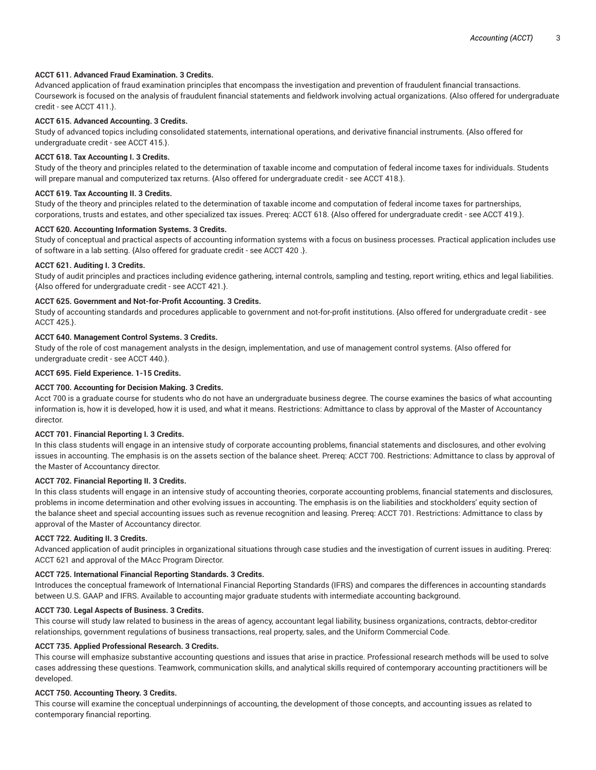# **ACCT 611. Advanced Fraud Examination. 3 Credits.**

Advanced application of fraud examination principles that encompass the investigation and prevention of fraudulent financial transactions. Coursework is focused on the analysis of fraudulent financial statements and fieldwork involving actual organizations. {Also offered for undergraduate credit - see ACCT 411.}.

## **ACCT 615. Advanced Accounting. 3 Credits.**

Study of advanced topics including consolidated statements, international operations, and derivative financial instruments. {Also offered for undergraduate credit - see ACCT 415.}.

## **ACCT 618. Tax Accounting I. 3 Credits.**

Study of the theory and principles related to the determination of taxable income and computation of federal income taxes for individuals. Students will prepare manual and computerized tax returns. {Also offered for undergraduate credit - see ACCT 418.}.

## **ACCT 619. Tax Accounting II. 3 Credits.**

Study of the theory and principles related to the determination of taxable income and computation of federal income taxes for partnerships, corporations, trusts and estates, and other specialized tax issues. Prereq: ACCT 618. {Also offered for undergraduate credit - see ACCT 419.}.

#### **ACCT 620. Accounting Information Systems. 3 Credits.**

Study of conceptual and practical aspects of accounting information systems with a focus on business processes. Practical application includes use of software in a lab setting. {Also offered for graduate credit - see ACCT 420 .}.

#### **ACCT 621. Auditing I. 3 Credits.**

Study of audit principles and practices including evidence gathering, internal controls, sampling and testing, report writing, ethics and legal liabilities. {Also offered for undergraduate credit - see ACCT 421.}.

## **ACCT 625. Government and Not-for-Profit Accounting. 3 Credits.**

Study of accounting standards and procedures applicable to government and not-for-profit institutions. {Also offered for undergraduate credit - see ACCT 425.}.

#### **ACCT 640. Management Control Systems. 3 Credits.**

Study of the role of cost management analysts in the design, implementation, and use of management control systems. {Also offered for undergraduate credit - see ACCT 440.}.

#### **ACCT 695. Field Experience. 1-15 Credits.**

## **ACCT 700. Accounting for Decision Making. 3 Credits.**

Acct 700 is a graduate course for students who do not have an undergraduate business degree. The course examines the basics of what accounting information is, how it is developed, how it is used, and what it means. Restrictions: Admittance to class by approval of the Master of Accountancy director.

## **ACCT 701. Financial Reporting I. 3 Credits.**

In this class students will engage in an intensive study of corporate accounting problems, financial statements and disclosures, and other evolving issues in accounting. The emphasis is on the assets section of the balance sheet. Prereq: ACCT 700. Restrictions: Admittance to class by approval of the Master of Accountancy director.

## **ACCT 702. Financial Reporting II. 3 Credits.**

In this class students will engage in an intensive study of accounting theories, corporate accounting problems, financial statements and disclosures, problems in income determination and other evolving issues in accounting. The emphasis is on the liabilities and stockholders' equity section of the balance sheet and special accounting issues such as revenue recognition and leasing. Prereq: ACCT 701. Restrictions: Admittance to class by approval of the Master of Accountancy director.

## **ACCT 722. Auditing II. 3 Credits.**

Advanced application of audit principles in organizational situations through case studies and the investigation of current issues in auditing. Prereq: ACCT 621 and approval of the MAcc Program Director.

## **ACCT 725. International Financial Reporting Standards. 3 Credits.**

Introduces the conceptual framework of International Financial Reporting Standards (IFRS) and compares the differences in accounting standards between U.S. GAAP and IFRS. Available to accounting major graduate students with intermediate accounting background.

#### **ACCT 730. Legal Aspects of Business. 3 Credits.**

This course will study law related to business in the areas of agency, accountant legal liability, business organizations, contracts, debtor-creditor relationships, government regulations of business transactions, real property, sales, and the Uniform Commercial Code.

#### **ACCT 735. Applied Professional Research. 3 Credits.**

This course will emphasize substantive accounting questions and issues that arise in practice. Professional research methods will be used to solve cases addressing these questions. Teamwork, communication skills, and analytical skills required of contemporary accounting practitioners will be developed.

## **ACCT 750. Accounting Theory. 3 Credits.**

This course will examine the conceptual underpinnings of accounting, the development of those concepts, and accounting issues as related to contemporary financial reporting.